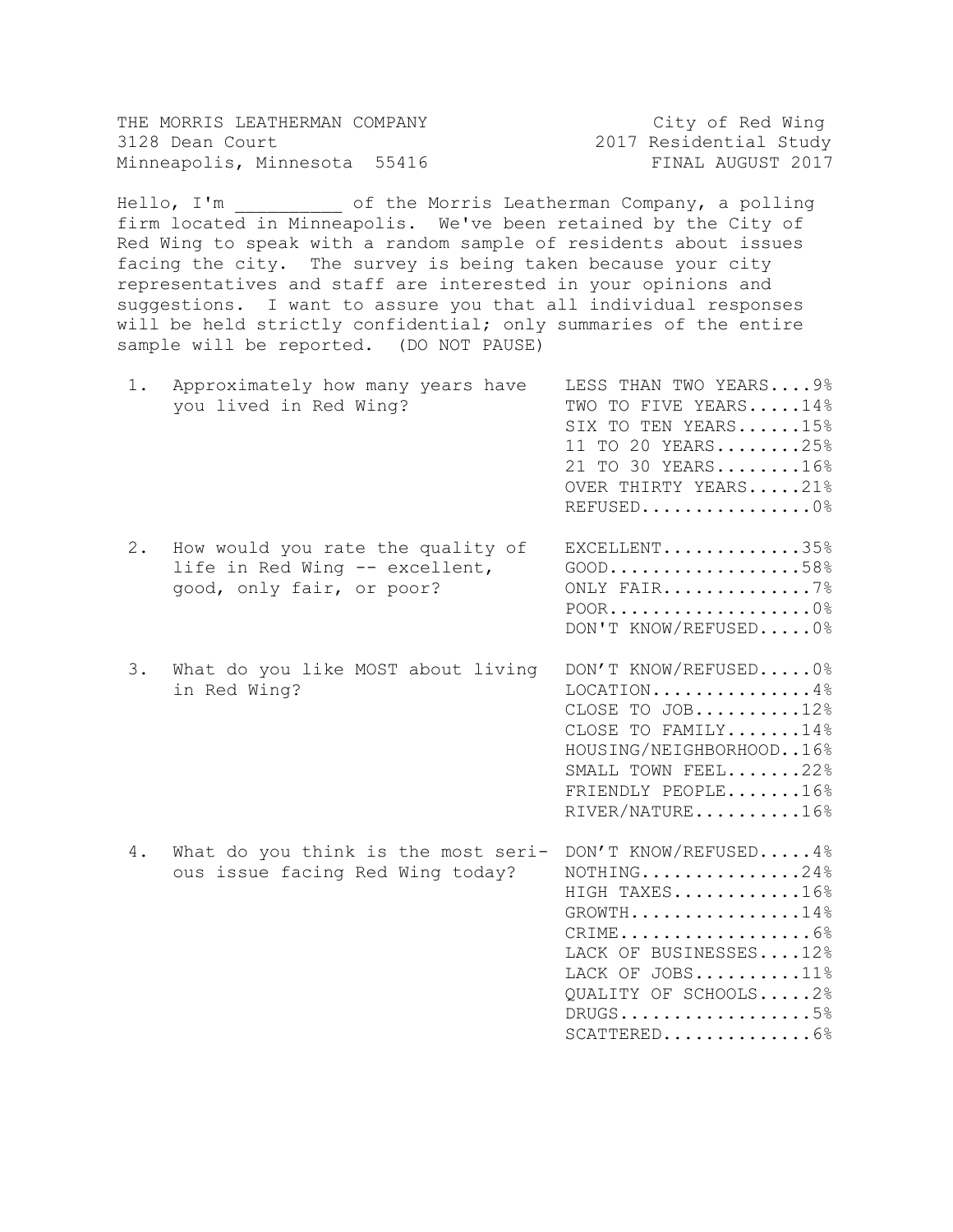| THE MORRIS LEATHERMAN COMPANY |  | City of Red Wing       |  |
|-------------------------------|--|------------------------|--|
| 3128 Dean Court               |  | 2017 Residential Study |  |
| Minneapolis, Minnesota 55416  |  | FINAL AUGUST 2017      |  |

Hello, I'm and the Morris Leatherman Company, a polling firm located in Minneapolis. We've been retained by the City of Red Wing to speak with a random sample of residents about issues facing the city. The survey is being taken because your city representatives and staff are interested in your opinions and suggestions. I want to assure you that all individual responses will be held strictly confidential; only summaries of the entire sample will be reported. (DO NOT PAUSE)

| 1. | Approximately how many years have<br>you lived in Red Wing?                                      | LESS THAN TWO YEARS 9%<br>TWO TO FIVE YEARS14%<br>SIX TO TEN YEARS15%<br>11 TO 20 YEARS25%<br>21 TO 30 YEARS16%<br>OVER THIRTY YEARS21%<br>REFUSED0%                                                            |
|----|--------------------------------------------------------------------------------------------------|-----------------------------------------------------------------------------------------------------------------------------------------------------------------------------------------------------------------|
| 2. | How would you rate the quality of<br>life in Red Wing -- excellent,<br>good, only fair, or poor? | EXCELLENT35%<br>$GOOD$ 58%<br>ONLY FAIR7%<br>$POOR$ 0%<br>DON'T KNOW/REFUSED0%                                                                                                                                  |
| 3. | What do you like MOST about living<br>in Red Wing?                                               | DON'T KNOW/REFUSED0%<br>$LOGATION \ldots \ldots \ldots \ldots \ldots 4\%$<br>CLOSE TO JOB $12%$<br>CLOSE TO FAMILY14%<br>HOUSING/NEIGHBORHOOD16%<br>SMALL TOWN FEEL22%<br>FRIENDLY PEOPLE16%<br>RIVER/NATURE16% |
| 4. | What do you think is the most seri-<br>ous issue facing Red Wing today?                          | DON'T KNOW/REFUSED 4%<br>NOTHING24%<br>HIGH TAXES16%<br>$GROWTH$ 14%<br>LACK OF BUSINESSES12%<br>LACK OF JOBS11%<br>QUALITY OF SCHOOLS2%<br>$DRUGS$ 5%<br>$SCATTERED$ 6%                                        |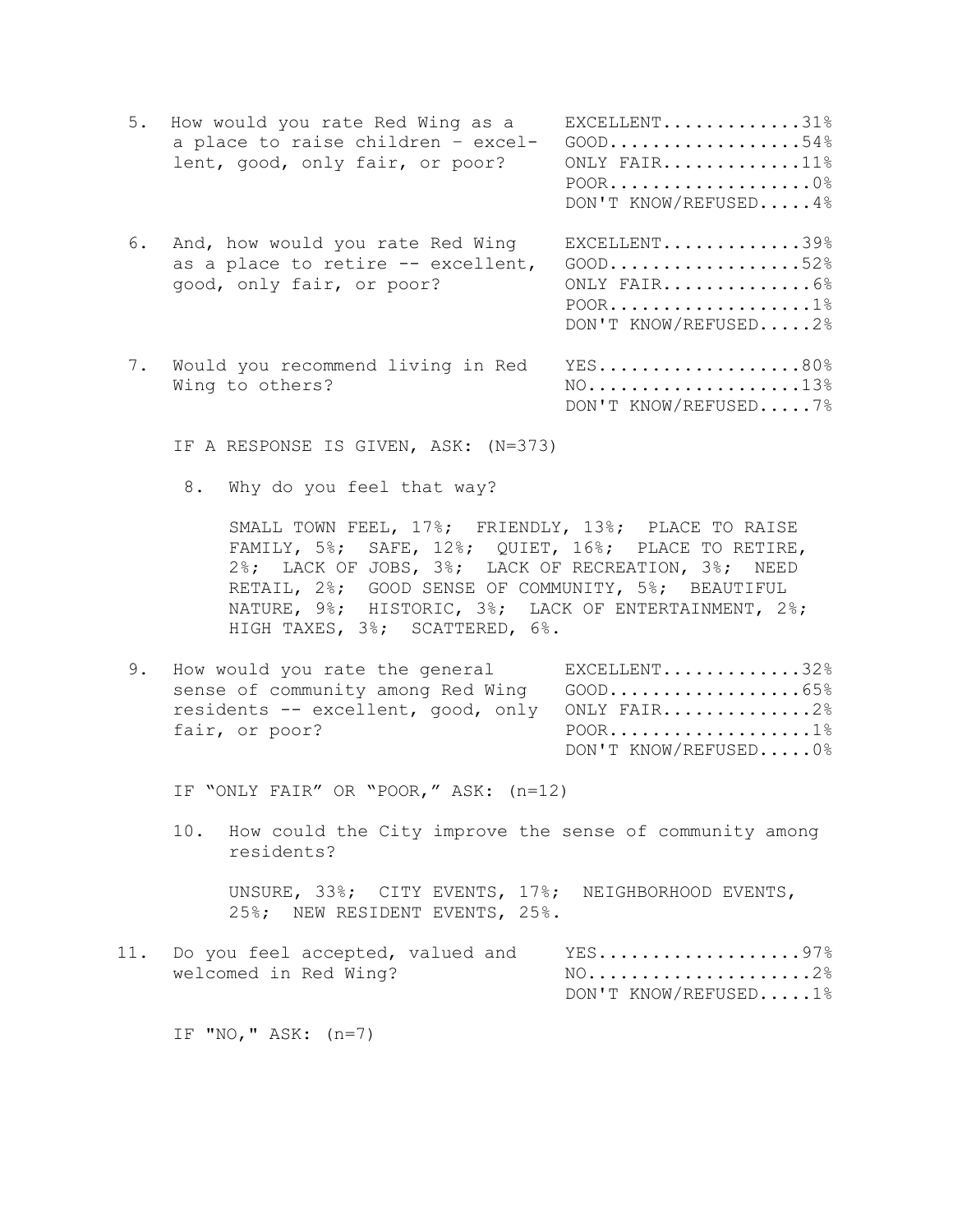| 5. | How would you rate Red Wing as a<br>a place to raise children - excel-<br>lent, good, only fair, or poor? | EXCELLENT31%<br>$GOOD$ 54%<br>ONLY FAIR $11\%$<br>DON'T KNOW/REFUSED4% |
|----|-----------------------------------------------------------------------------------------------------------|------------------------------------------------------------------------|
| 6. | And, how would you rate Red Wing<br>as a place to retire -- excellent,<br>good, only fair, or poor?       | EXCELLENT39%<br>$GOOD$ 52%<br>ONLY FAIR6%<br>DON'T KNOW/REFUSED2%      |
| 7. | Would you recommend living in Red<br>Wing to others?                                                      | YES80%<br>$NO.$ 13%<br>DON'T KNOW/REFUSED7%                            |

IF A RESPONSE IS GIVEN, ASK: (N=373)

8. Why do you feel that way?

SMALL TOWN FEEL, 17%; FRIENDLY, 13%; PLACE TO RAISE FAMILY, 5%; SAFE, 12%; QUIET, 16%; PLACE TO RETIRE, 2%; LACK OF JOBS, 3%; LACK OF RECREATION, 3%; NEED RETAIL, 2%; GOOD SENSE OF COMMUNITY, 5%; BEAUTIFUL NATURE, 9%; HISTORIC, 3%; LACK OF ENTERTAINMENT, 2%; HIGH TAXES, 3%; SCATTERED, 6%.

9. How would you rate the general EXCELLENT.............32% sense of community among Red Wing GOOD...................65% residents -- excellent, good, only ONLY FAIR..............2% fair, or poor? POOR...................1% DON'T KNOW/REFUSED.....0%

IF "ONLY FAIR" OR "POOR," ASK: (n=12)

10. How could the City improve the sense of community among residents?

UNSURE, 33%; CITY EVENTS, 17%; NEIGHBORHOOD EVENTS, 25%; NEW RESIDENT EVENTS, 25%.

| welcomed in Red Wing? |  | $NO$ 2%              |  |
|-----------------------|--|----------------------|--|
|                       |  | DON'T KNOW/REFUSED1% |  |

IF "NO," ASK: (n=7)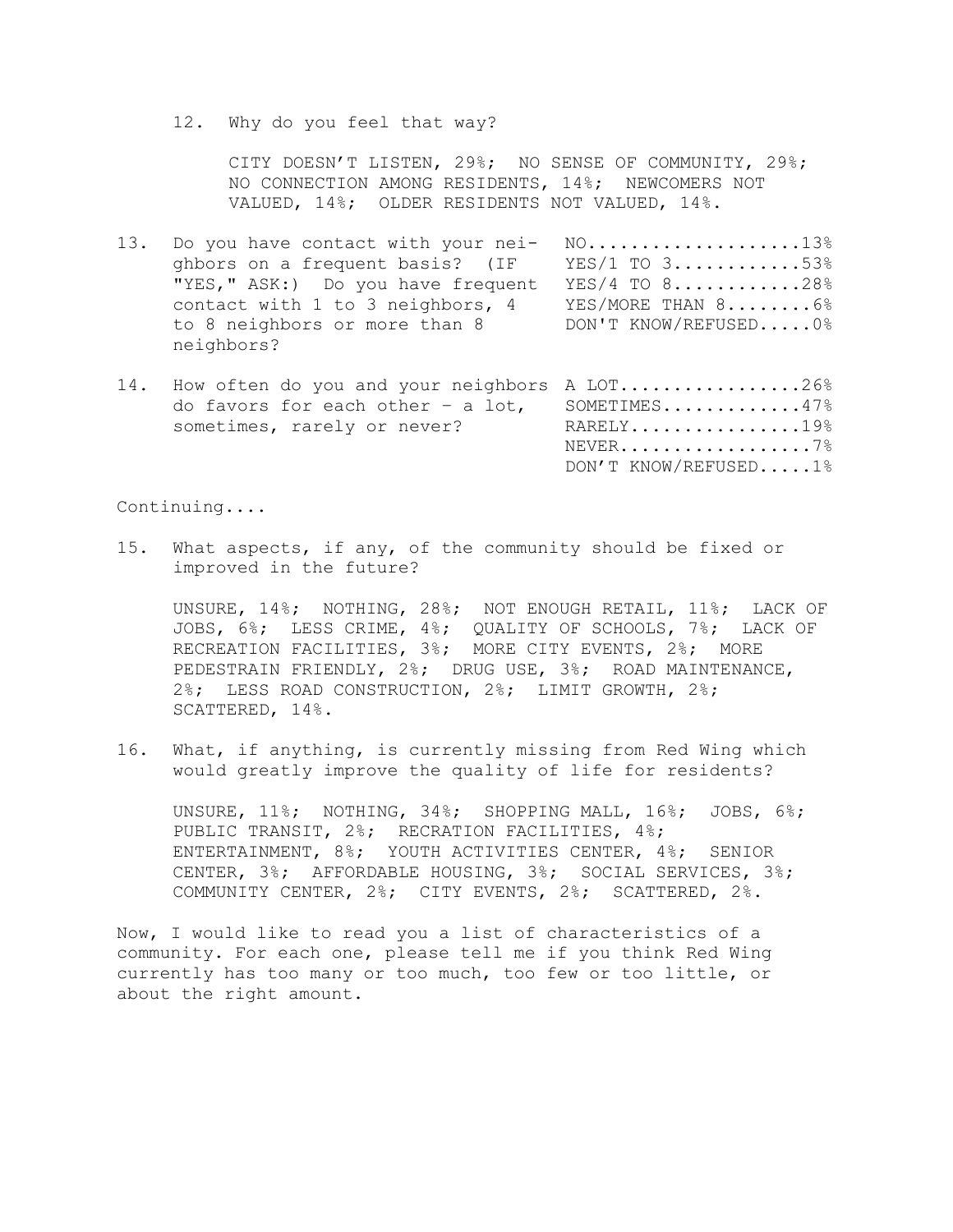12. Why do you feel that way?

CITY DOESN'T LISTEN, 29%; NO SENSE OF COMMUNITY, 29%; NO CONNECTION AMONG RESIDENTS, 14%; NEWCOMERS NOT VALUED, 14%; OLDER RESIDENTS NOT VALUED, 14%.

- 13. Do you have contact with your nei- NO....................13% ghbors on a frequent basis? (IF YES/1 TO 3............53% "YES," ASK:) Do you have frequent YES/4 TO 8............28% contact with 1 to 3 neighbors, 4 YES/MORE THAN 8......... 6% to 8 neighbors or more than 8 DON'T KNOW/REFUSED..... 0% neighbors?
- 14. How often do you and your neighbors A LOT.................26% do favors for each other – a lot, SOMETIMES.............47% sometimes, rarely or never? RARELY................19% NEVER.................7% DON'T KNOW/REFUSED.....1%

Continuing....

15. What aspects, if any, of the community should be fixed or improved in the future?

UNSURE, 14%; NOTHING, 28%; NOT ENOUGH RETAIL, 11%; LACK OF JOBS, 6%; LESS CRIME, 4%; QUALITY OF SCHOOLS, 7%; LACK OF RECREATION FACILITIES, 3%; MORE CITY EVENTS, 2%; MORE PEDESTRAIN FRIENDLY, 2%; DRUG USE, 3%; ROAD MAINTENANCE, 2%; LESS ROAD CONSTRUCTION, 2%; LIMIT GROWTH, 2%; SCATTERED, 14%.

16. What, if anything, is currently missing from Red Wing which would greatly improve the quality of life for residents?

UNSURE, 11%; NOTHING, 34%; SHOPPING MALL, 16%; JOBS, 6%; PUBLIC TRANSIT, 2%; RECRATION FACILITIES, 4%; ENTERTAINMENT, 8%; YOUTH ACTIVITIES CENTER, 4%; SENIOR CENTER, 3%; AFFORDABLE HOUSING, 3%; SOCIAL SERVICES, 3%; COMMUNITY CENTER, 2%; CITY EVENTS, 2%; SCATTERED, 2%.

Now, I would like to read you a list of characteristics of a community. For each one, please tell me if you think Red Wing currently has too many or too much, too few or too little, or about the right amount.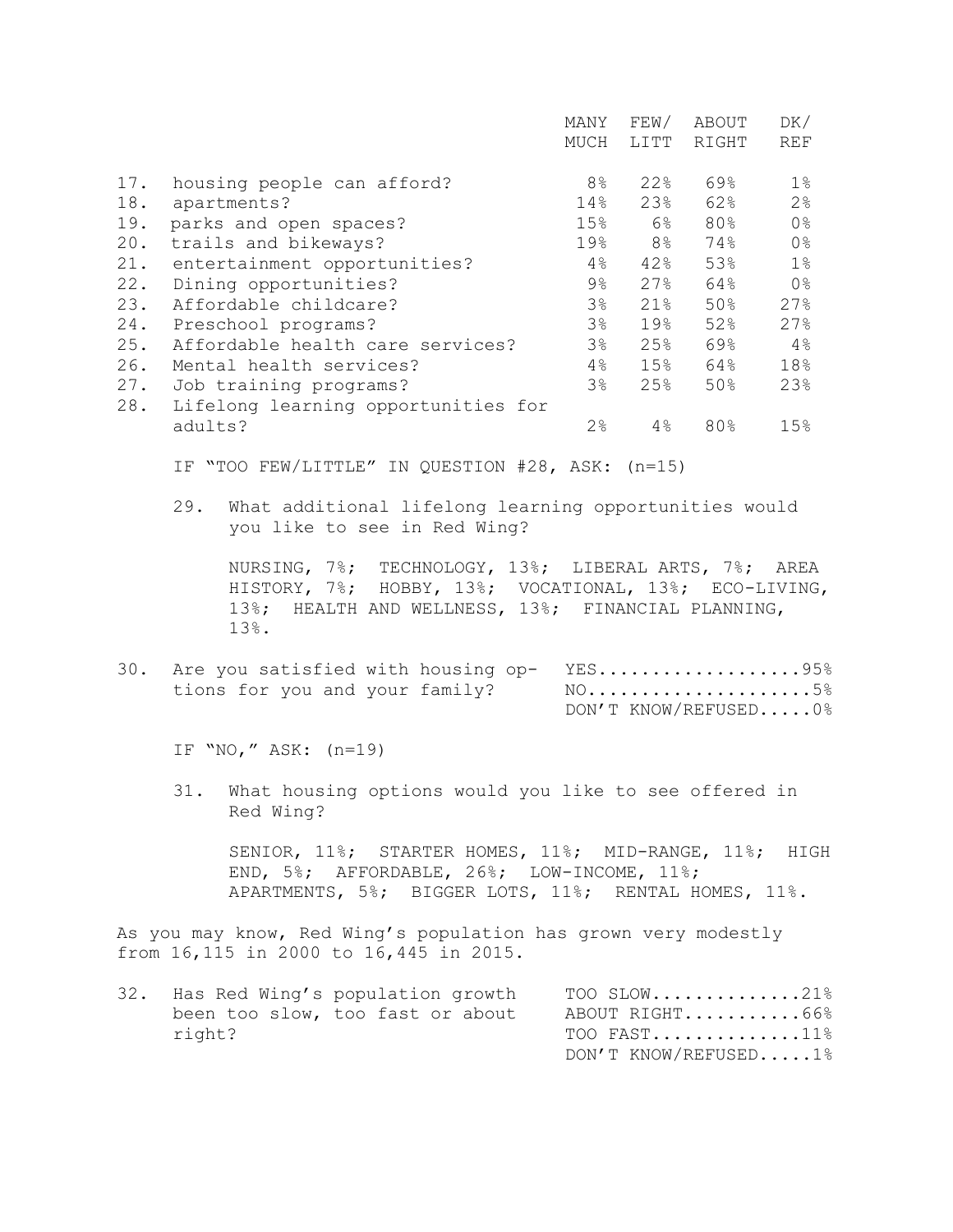|     |                                     | MANY           | FEW/ | ABOUT | DK/            |
|-----|-------------------------------------|----------------|------|-------|----------------|
|     |                                     | MUCH           | LITT | RIGHT | <b>REF</b>     |
|     |                                     |                |      |       |                |
| 17. | housing people can afford?          | 8 <sup>°</sup> | 22%  | 69%   | $1\%$          |
| 18. | apartments?                         | 14%            | 23%  | 62%   | 2 <sup>°</sup> |
| 19. | parks and open spaces?              | 15%            | 6%   | 80%   | 0 <sup>°</sup> |
| 20. | trails and bikeways?                | 19%            | 8%   | 74%   | 0 <sup>°</sup> |
| 21. | entertainment opportunities?        | 4%             | 42%  | 53%   | $1\%$          |
| 22. | Dining opportunities?               | $9\%$          | 27%  | 64%   | 0 <sup>°</sup> |
| 23. | Affordable childcare?               | 3 <sup>°</sup> | 21%  | 50%   | 27%            |
| 24. | Preschool programs?                 | 3 <sup>°</sup> | 19%  | 52%   | 27%            |
| 25. | Affordable health care services?    | $3\%$          | 25%  | 69%   | $4\%$          |
| 26. | Mental health services?             | $4\%$          | 15%  | 64%   | 18%            |
| 27. | Job training programs?              | 3%             | 25%  | 50%   | 23%            |
| 28. | Lifelong learning opportunities for |                |      |       |                |
|     | adults?                             | 2%             | 4%   | 80%   | 15%            |

IF "TOO FEW/LITTLE" IN QUESTION #28, ASK: (n=15)

29. What additional lifelong learning opportunities would you like to see in Red Wing?

NURSING, 7%; TECHNOLOGY, 13%; LIBERAL ARTS, 7%; AREA HISTORY, 7%; HOBBY, 13%; VOCATIONAL, 13%; ECO-LIVING, 13%; HEALTH AND WELLNESS, 13%; FINANCIAL PLANNING, 13%.

30. Are you satisfied with housing op- YES....................95% tions for you and your family? NO.........................5% DON'T KNOW/REFUSED.....0%

IF "NO," ASK: (n=19)

31. What housing options would you like to see offered in Red Wing?

SENIOR, 11%; STARTER HOMES, 11%; MID-RANGE, 11%; HIGH END, 5%; AFFORDABLE, 26%; LOW-INCOME, 11%; APARTMENTS, 5%; BIGGER LOTS, 11%; RENTAL HOMES, 11%.

As you may know, Red Wing's population has grown very modestly from 16,115 in 2000 to 16,445 in 2015.

| 32. Has Red Wing's population growth | TOO SLOW21%          |
|--------------------------------------|----------------------|
| been too slow, too fast or about     | ABOUT RIGHT66%       |
| right?                               | TOO FAST11%          |
|                                      | DON'T KNOW/REFUSED1% |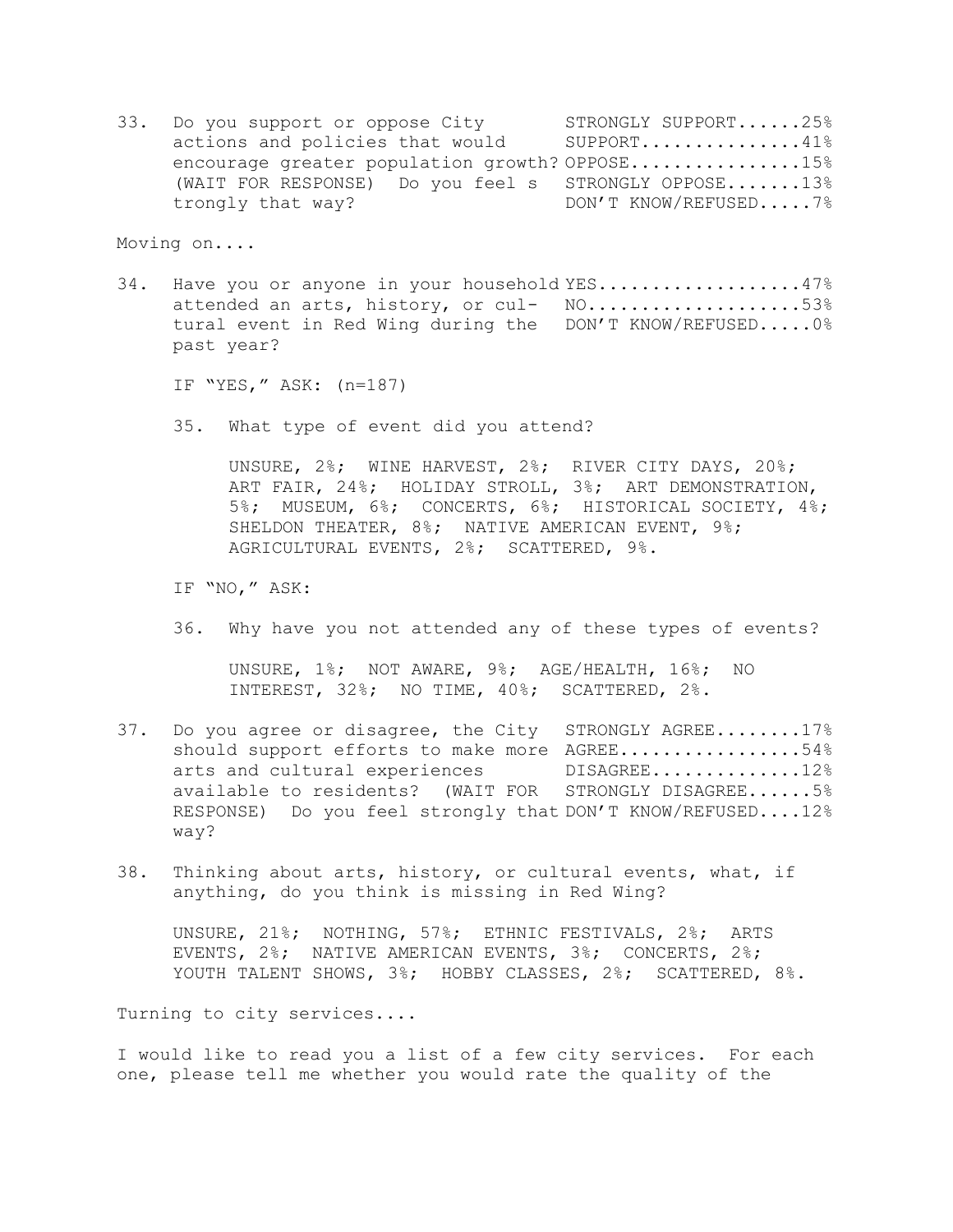33. Do you support or oppose City STRONGLY SUPPORT......25% actions and policies that would SUPPORT..............41% encourage greater population growth? OPPOSE................15% (WAIT FOR RESPONSE) Do you feel s STRONGLY OPPOSE.......13% trongly that way? DON'T KNOW/REFUSED.....7%

Moving on....

34. Have you or anyone in your household YES..................47% attended an arts, history, or cul- NO.....................53% tural event in Red Wing during the DON'T KNOW/REFUSED.....0% past year?

IF "YES," ASK: (n=187)

35. What type of event did you attend?

UNSURE, 2%; WINE HARVEST, 2%; RIVER CITY DAYS, 20%; ART FAIR, 24%; HOLIDAY STROLL, 3%; ART DEMONSTRATION, 5%; MUSEUM, 6%; CONCERTS, 6%; HISTORICAL SOCIETY, 4%; SHELDON THEATER, 8%; NATIVE AMERICAN EVENT, 9%; AGRICULTURAL EVENTS, 2%; SCATTERED, 9%.

IF "NO," ASK:

36. Why have you not attended any of these types of events?

UNSURE, 1%; NOT AWARE, 9%; AGE/HEALTH, 16%; NO INTEREST, 32%; NO TIME, 40%; SCATTERED, 2%.

- 37. Do you agree or disagree, the City STRONGLY AGREE........17% should support efforts to make more AGREE.................54% arts and cultural experiences DISAGREE..............12% available to residents? (WAIT FOR STRONGLY DISAGREE......5% RESPONSE) Do you feel strongly that DON'T KNOW/REFUSED....12% way?
- 38. Thinking about arts, history, or cultural events, what, if anything, do you think is missing in Red Wing?

UNSURE, 21%; NOTHING, 57%; ETHNIC FESTIVALS, 2%; ARTS EVENTS, 2%; NATIVE AMERICAN EVENTS, 3%; CONCERTS, 2%; YOUTH TALENT SHOWS, 3%; HOBBY CLASSES, 2%; SCATTERED, 8%.

Turning to city services....

I would like to read you a list of a few city services. For each one, please tell me whether you would rate the quality of the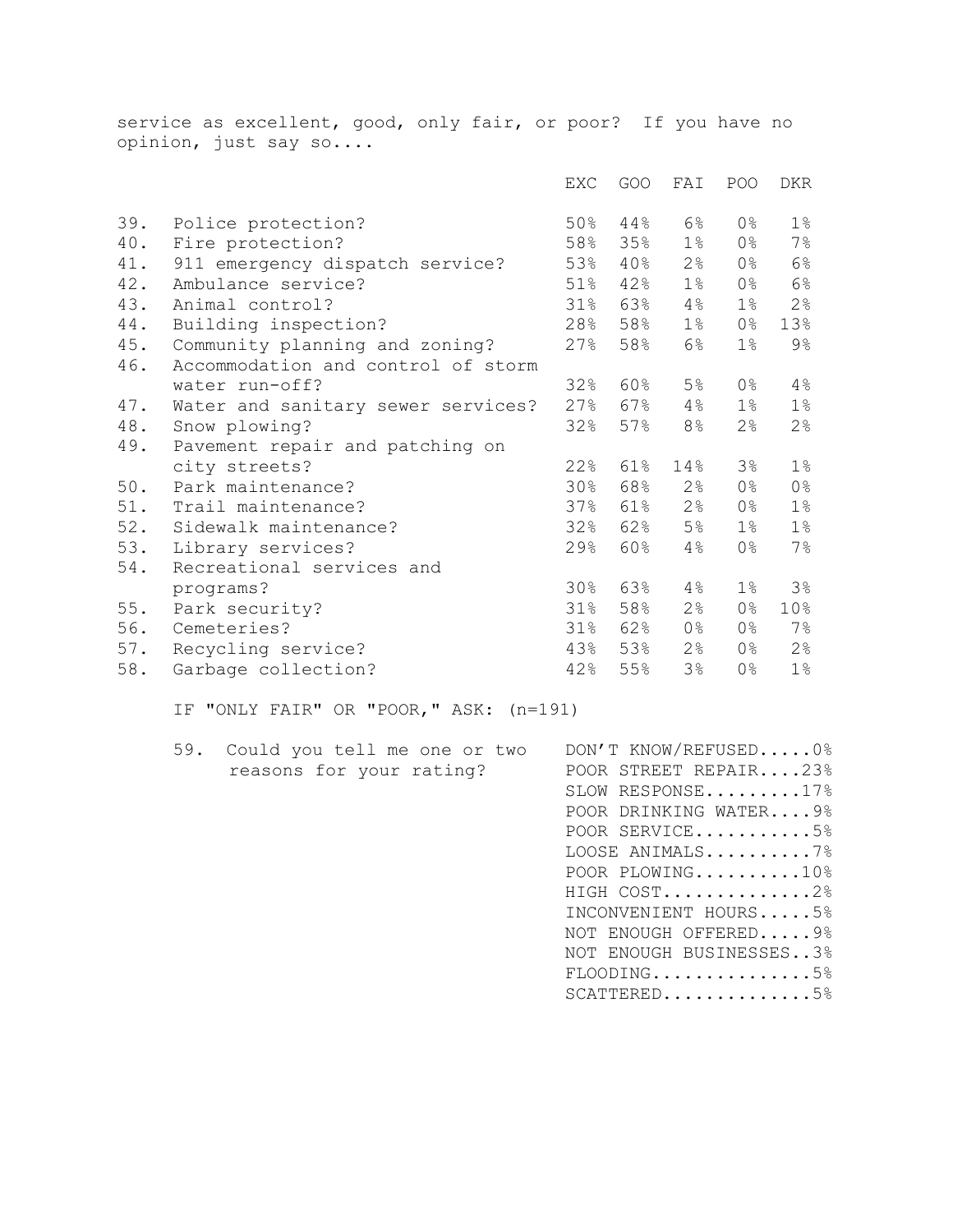service as excellent, good, only fair, or poor? If you have no opinion, just say so....

|     |                                    | <b>EXC</b> | GOO                 | FAI            | POO            | <b>DKR</b>     |
|-----|------------------------------------|------------|---------------------|----------------|----------------|----------------|
| 39. | Police protection?                 | 50%        | $44\,$ $^{\circ}\,$ | 6%             | 0%             | $1\%$          |
| 40. | Fire protection?                   | 58%        | 35%                 | $1\%$          | $0\,$ %        | $7\%$          |
| 41. | 911 emergency dispatch service?    | 53%        | $40\%$              | 2%             | 0%             | $6\%$          |
| 42. | Ambulance service?                 | 51%        | 42%                 | $1\%$          | $0\,$ %        | $6\%$          |
| 43. | Animal control?                    | 31%        | 63%                 | 4%             | $1\%$          | 2 <sup>°</sup> |
| 44. | Building inspection?               | 28%        | 58%                 | $1\%$          | 0%             | 13%            |
| 45. | Community planning and zoning?     | 27%        | 58%                 | $6\%$          | $1\%$          | 9%             |
| 46. | Accommodation and control of storm |            |                     |                |                |                |
|     | water run-off?                     | 32%        | 60%                 | 5%             | 0%             | $4\%$          |
| 47. | Water and sanitary sewer services? | 27%        | 67%                 | 4%             | $1\%$          | $1\%$          |
| 48. | Snow plowing?                      | 32%        | 57%                 | 8%             | $2\,$          | $2\frac{6}{6}$ |
| 49. | Pavement repair and patching on    |            |                     |                |                |                |
|     | city streets?                      | 22%        | 61%                 | 14%            | 3%             | $1\%$          |
| 50. | Park maintenance?                  | 30%        | 68%                 | $2\frac{6}{6}$ | 0%             | 0 <sup>°</sup> |
| 51. | Trail maintenance?                 | 37%        | 61%                 | 2%             | $0\,$ %        | $1\%$          |
| 52. | Sidewalk maintenance?              | 32%        | 62%                 | 5 <sup>°</sup> | $1\%$          | $1\%$          |
| 53. | Library services?                  | 29%        | 60%                 | 4%             | 0%             | $7\%$          |
| 54. | Recreational services and          |            |                     |                |                |                |
|     | programs?                          | 30%        | 63%                 | 4%             | $1\%$          | 3%             |
| 55. | Park security?                     | 31%        | 58%                 | 2 <sup>°</sup> | 0%             | 10%            |
| 56. | Cemeteries?                        |            | 31% 62%             | 0 <sup>°</sup> | 0%             | $7\%$          |
| 57. | Recycling service?                 | 43%        | 53%                 | 2 <sup>°</sup> | 0%             | 2%             |
| 58. | Garbage collection?                | 42%        | 55%                 | 3%             | 0 <sup>°</sup> | $1\%$          |

IF "ONLY FAIR" OR "POOR," ASK: (n=191)

59. Could you tell me one or two DON'T KNOW/REFUSED.....0% reasons for your rating? POOR STREET REPAIR....23%

SLOW RESPONSE........17% POOR DRINKING WATER....9% POOR SERVICE...........5% LOOSE ANIMALS..........7% POOR PLOWING.........10% HIGH COST.............2% INCONVENIENT HOURS.....5% NOT ENOUGH OFFERED.....9% NOT ENOUGH BUSINESSES..3% FLOODING.............5% SCATTERED............5%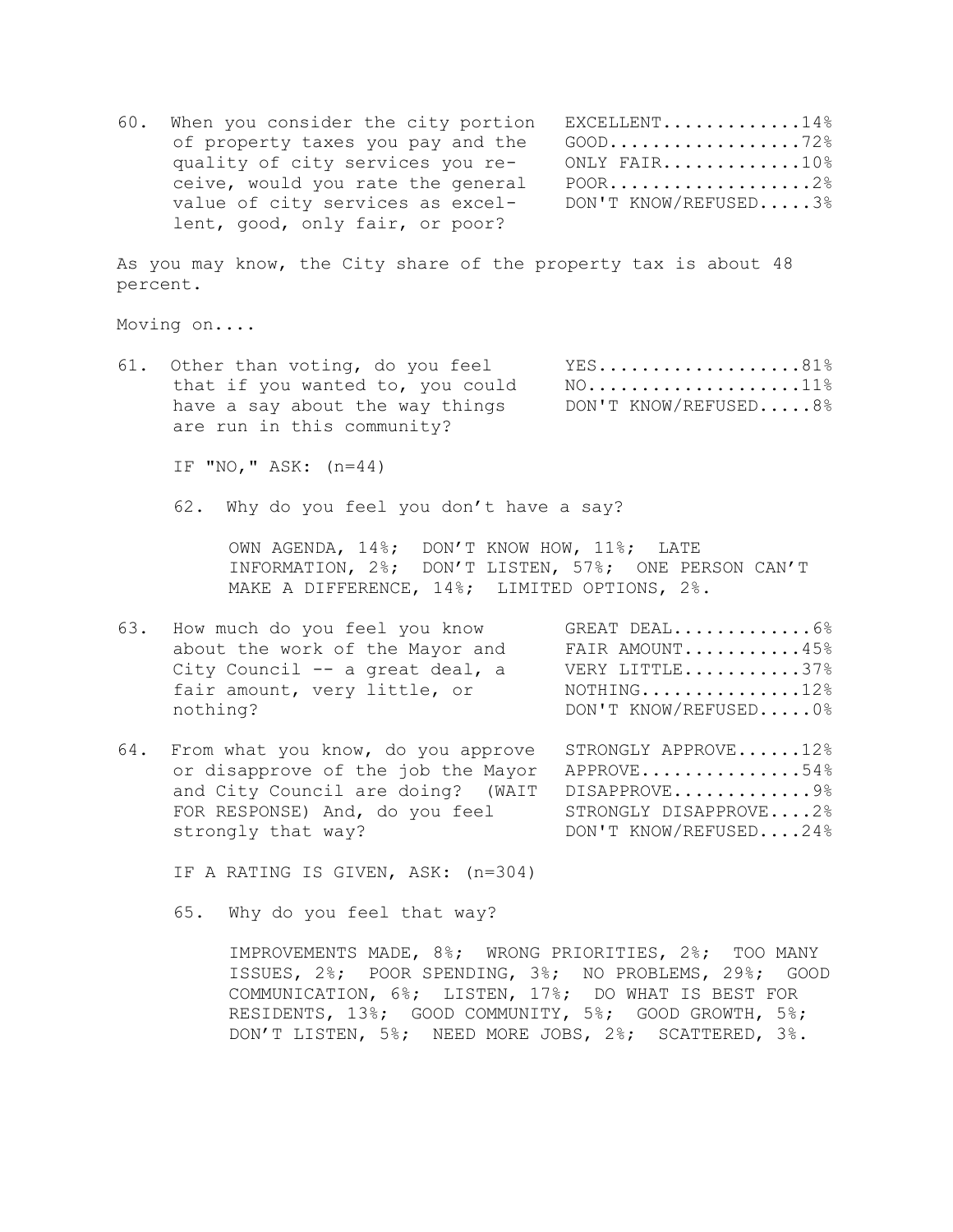60. When you consider the city portion EXCELLENT.............14% of property taxes you pay and the GOOD..................72% quality of city services you re- ONLY FAIR.............10% ceive, would you rate the general POOR....................2% value of city services as excel- DON'T KNOW/REFUSED.....3% lent, good, only fair, or poor?

As you may know, the City share of the property tax is about 48 percent.

Moving on....

61. Other than voting, do you feel YES...................81% that if you wanted to, you could  $N0$ ......................11% have a say about the way things DON'T KNOW/REFUSED.....8% are run in this community?

IF "NO," ASK: (n=44)

62. Why do you feel you don't have a say?

OWN AGENDA, 14%; DON'T KNOW HOW, 11%; LATE INFORMATION, 2%; DON'T LISTEN, 57%; ONE PERSON CAN'T MAKE A DIFFERENCE, 14%; LIMITED OPTIONS, 2%.

- 63. How much do you feel you know GREAT DEAL.............6% about the work of the Mayor and FAIR AMOUNT...........45% City Council  $-$  a great deal, a WERY LITTLE............37% fair amount, very little, or NOTHING...............12% nothing? DON'T KNOW/REFUSED.....0%
- 64. From what you know, do you approve STRONGLY APPROVE......12% or disapprove of the job the Mayor APPROVE...............54% and City Council are doing? (WAIT DISAPPROVE.............9% FOR RESPONSE) And, do you feel STRONGLY DISAPPROVE....2% strongly that way? DON'T KNOW/REFUSED....24%

IF A RATING IS GIVEN, ASK: (n=304)

65. Why do you feel that way?

IMPROVEMENTS MADE, 8%; WRONG PRIORITIES, 2%; TOO MANY ISSUES, 2%; POOR SPENDING, 3%; NO PROBLEMS, 29%; GOOD COMMUNICATION, 6%; LISTEN, 17%; DO WHAT IS BEST FOR RESIDENTS, 13%; GOOD COMMUNITY, 5%; GOOD GROWTH, 5%; DON'T LISTEN, 5%; NEED MORE JOBS, 2%; SCATTERED, 3%.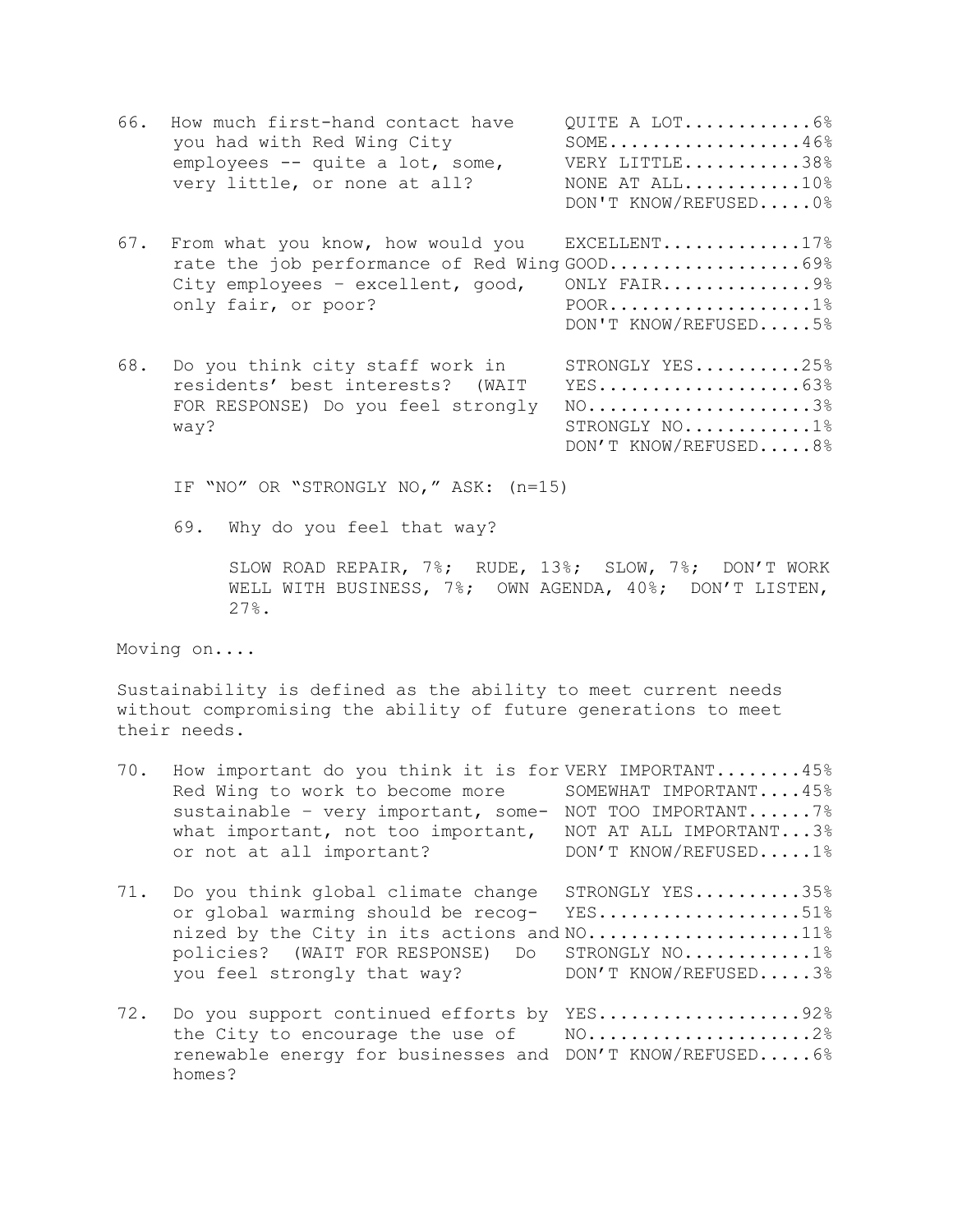| 66. | How much first-hand contact have<br>you had with Red Wing City<br>employees -- quite a lot, some,<br>very little, or none at all?             | QUITE A LOT6%<br>$SOME \ldots \ldots \ldots \ldots \ldots \ldots 46\%$<br>VERY LITTLE38%<br>NONE AT ALL10%<br>DON'T KNOW/REFUSED0% |
|-----|-----------------------------------------------------------------------------------------------------------------------------------------------|------------------------------------------------------------------------------------------------------------------------------------|
| 67. | From what you know, how would you<br>rate the job performance of Red Wing GOOD69%<br>City employees - excellent, good,<br>only fair, or poor? | EXCELLENT17%<br>ONLY FAIR9%<br>DON'T KNOW/REFUSED5%                                                                                |
| 68. | Do you think city staff work in<br>residents' best interests? (WAIT<br>FOR RESPONSE) Do you feel strongly<br>way?                             | STRONGLY YES25%<br>$YES$ 63%<br>$NO.$ 3%<br>STRONGLY $NO$ 1%<br>DON'T KNOW/REFUSED8%                                               |

IF "NO" OR "STRONGLY NO," ASK: (n=15)

69. Why do you feel that way?

SLOW ROAD REPAIR, 7%; RUDE, 13%; SLOW, 7%; DON'T WORK WELL WITH BUSINESS, 7%; OWN AGENDA, 40%; DON'T LISTEN, 27%.

Moving on....

Sustainability is defined as the ability to meet current needs without compromising the ability of future generations to meet their needs.

| 70. | How important do you think it is for VERY IMPORTANT45%<br>Red Wing to work to become more<br>sustainable - very important, some-<br>what important, not too important,<br>or not at all important? | SOMEWHAT IMPORTANT45%<br>NOT TOO IMPORTANT 7%<br>NOT AT ALL IMPORTANT3%<br>DON'T KNOW/REFUSED1% |
|-----|----------------------------------------------------------------------------------------------------------------------------------------------------------------------------------------------------|-------------------------------------------------------------------------------------------------|
| 71. | Do you think global climate change<br>or global warming should be recog-<br>nized by the City in its actions and NO11%<br>policies? (WAIT FOR RESPONSE) Do<br>you feel strongly that way?          | STRONGLY YES35%<br>$YES$ 51%<br>STRONGLY NO1%<br>DON'T KNOW/REFUSED3%                           |
| 72. | Do you support continued efforts by<br>the City to encourage the use of<br>renewable energy for businesses and<br>homes?                                                                           | YES92%<br>$NO. 2%$<br>DON'T KNOW/REFUSED6%                                                      |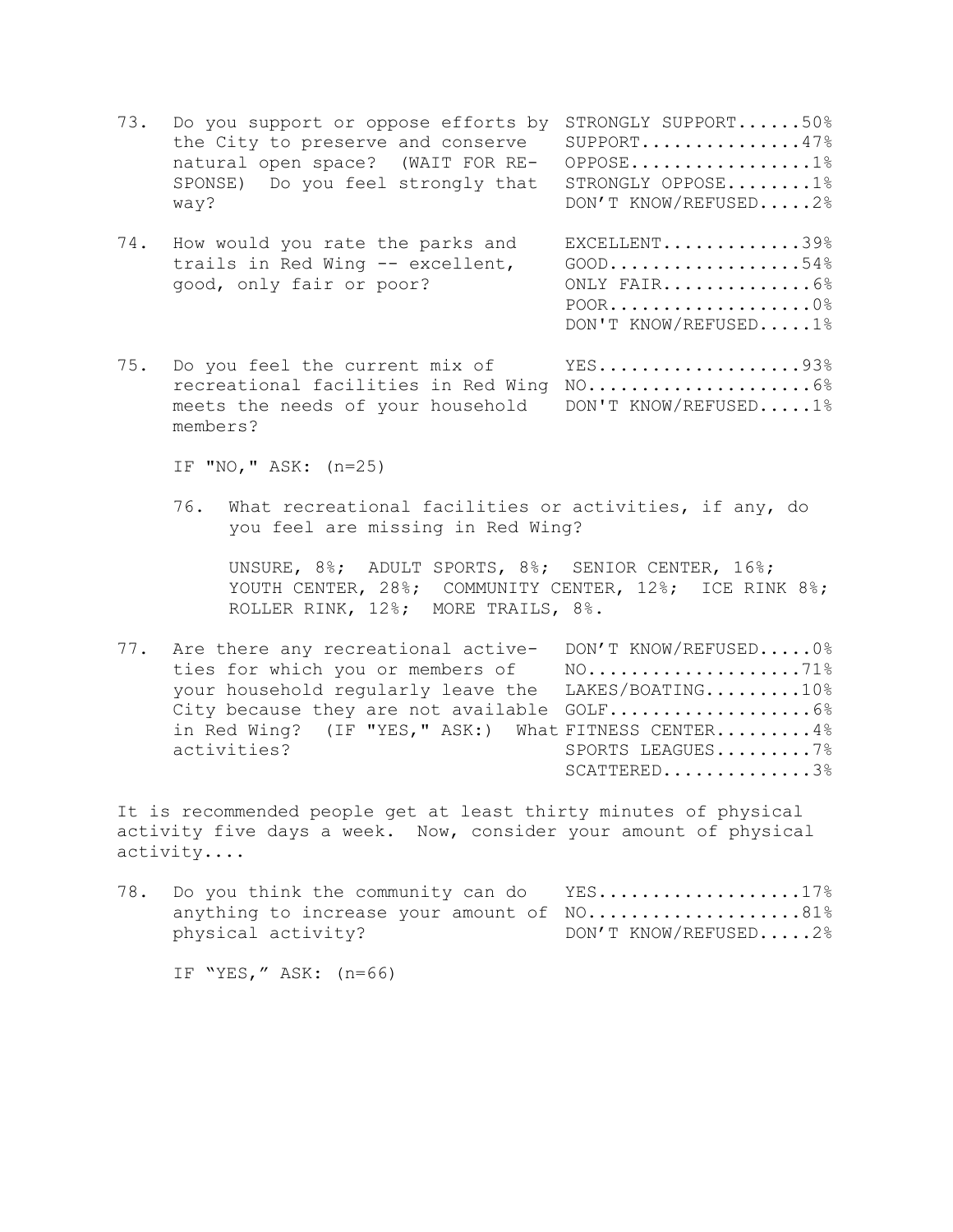73. Do you support or oppose efforts by STRONGLY SUPPORT......50% the City to preserve and conserve SUPPORT..............47% natural open space? (WAIT FOR RE- OPPOSE.................1% SPONSE) Do you feel strongly that STRONGLY OPPOSE........1% way? DON'T KNOW/REFUSED.....2% 74. How would you rate the parks and EXCELLENT.............39% trails in Red Wing -- excellent, GOOD...................54% good, only fair or poor? ONLY FAIR..............6% POOR...................0% DON'T KNOW/REFUSED.....1% 75. Do you feel the current mix of YES....................93% recreational facilities in Red Wing NO.....................6% meets the needs of your household DON'T KNOW/REFUSED.....1% members?

IF "NO," ASK: (n=25)

76. What recreational facilities or activities, if any, do you feel are missing in Red Wing?

UNSURE, 8%; ADULT SPORTS, 8%; SENIOR CENTER, 16%; YOUTH CENTER, 28%; COMMUNITY CENTER, 12%; ICE RINK 8%; ROLLER RINK, 12%; MORE TRAILS, 8%.

77. Are there any recreational active- DON'T KNOW/REFUSED.....0% ties for which you or members of NO......................71% your household regularly leave the LAKES/BOATING.........10% City because they are not available GOLF...................6% in Red Wing? (IF "YES," ASK:) What FITNESS CENTER.........4% activities? SPORTS LEAGUES.........7% SCATTERED.............3%

It is recommended people get at least thirty minutes of physical activity five days a week. Now, consider your amount of physical activity....

78. Do you think the community can do YES...................17% anything to increase your amount of NO.....................81% physical activity? DON'T KNOW/REFUSED.....2%

IF "YES," ASK: (n=66)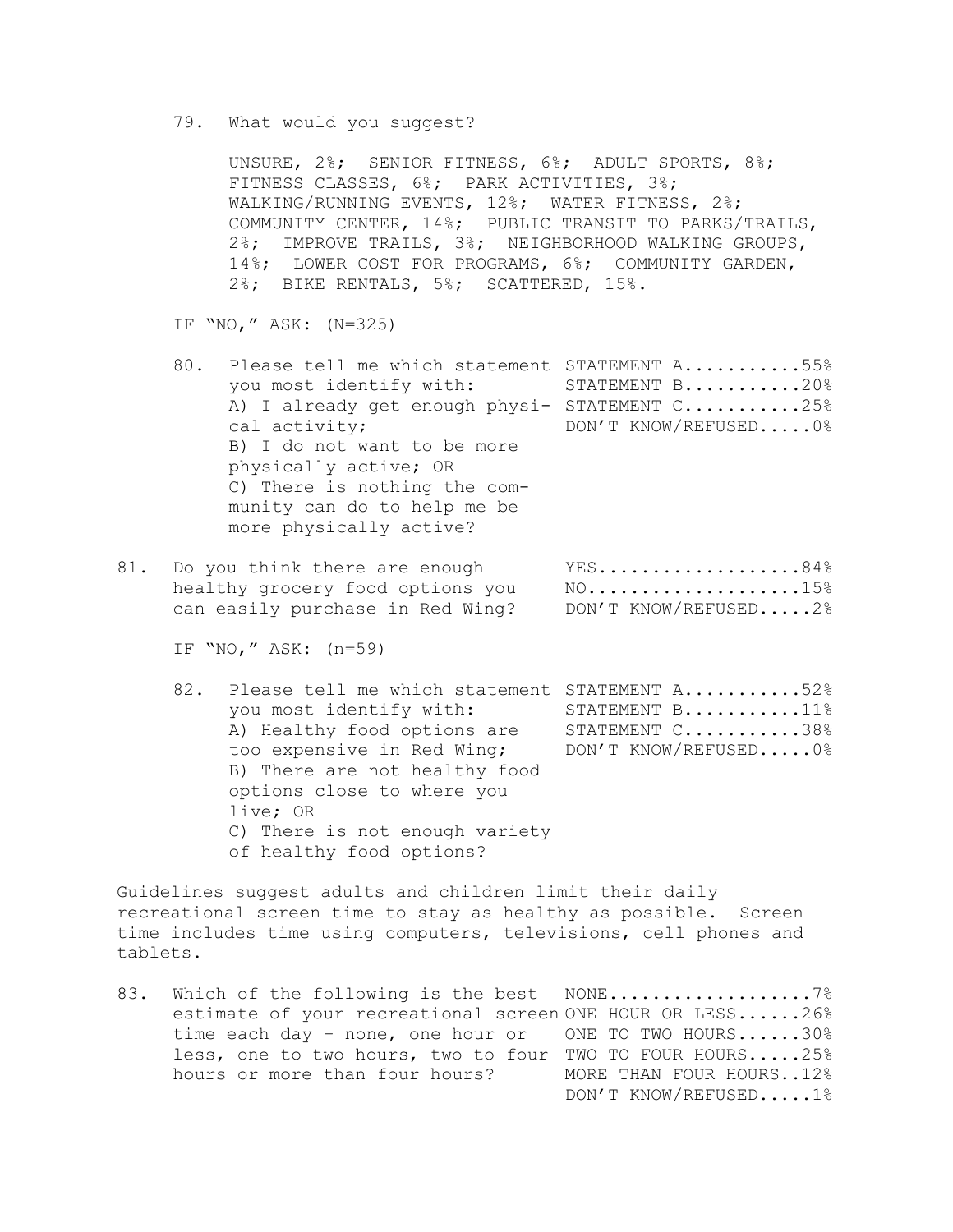79. What would you suggest?

UNSURE, 2%; SENIOR FITNESS, 6%; ADULT SPORTS, 8%; FITNESS CLASSES, 6%; PARK ACTIVITIES, 3%; WALKING/RUNNING EVENTS, 12%; WATER FITNESS, 2%; COMMUNITY CENTER, 14%; PUBLIC TRANSIT TO PARKS/TRAILS, 2%; IMPROVE TRAILS, 3%; NEIGHBORHOOD WALKING GROUPS, 14%; LOWER COST FOR PROGRAMS, 6%; COMMUNITY GARDEN, 2%; BIKE RENTALS, 5%; SCATTERED, 15%.

IF "NO," ASK: (N=325)

- 80. Please tell me which statement STATEMENT A...........55% you most identify with: STATEMENT B...........20% A) I already get enough physi- STATEMENT C...........25% cal activity;  $DON'T KNOW/REFUSED...0$ % B) I do not want to be more physically active; OR C) There is nothing the community can do to help me be more physically active?
- 81. Do you think there are enough YES...................84% healthy grocery food options you  $N0$ .....................15% can easily purchase in Red Wing? DON'T KNOW/REFUSED.....2%
	- IF "NO," ASK: (n=59)
	- 82. Please tell me which statement STATEMENT A...........52% you most identify with: STATEMENT B...........11% A) Healthy food options are STATEMENT C...........38% too expensive in Red Wing; DON'T KNOW/REFUSED.....0% B) There are not healthy food options close to where you live; OR C) There is not enough variety of healthy food options?

Guidelines suggest adults and children limit their daily recreational screen time to stay as healthy as possible. Screen time includes time using computers, televisions, cell phones and tablets.

83. Which of the following is the best NONE........................7% estimate of your recreational screen ONE HOUR OR LESS......26% time each day – none, one hour or ONE TO TWO HOURS......30% less, one to two hours, two to four TWO TO FOUR HOURS.....25% hours or more than four hours? MORE THAN FOUR HOURS..12% DON'T KNOW/REFUSED.....1%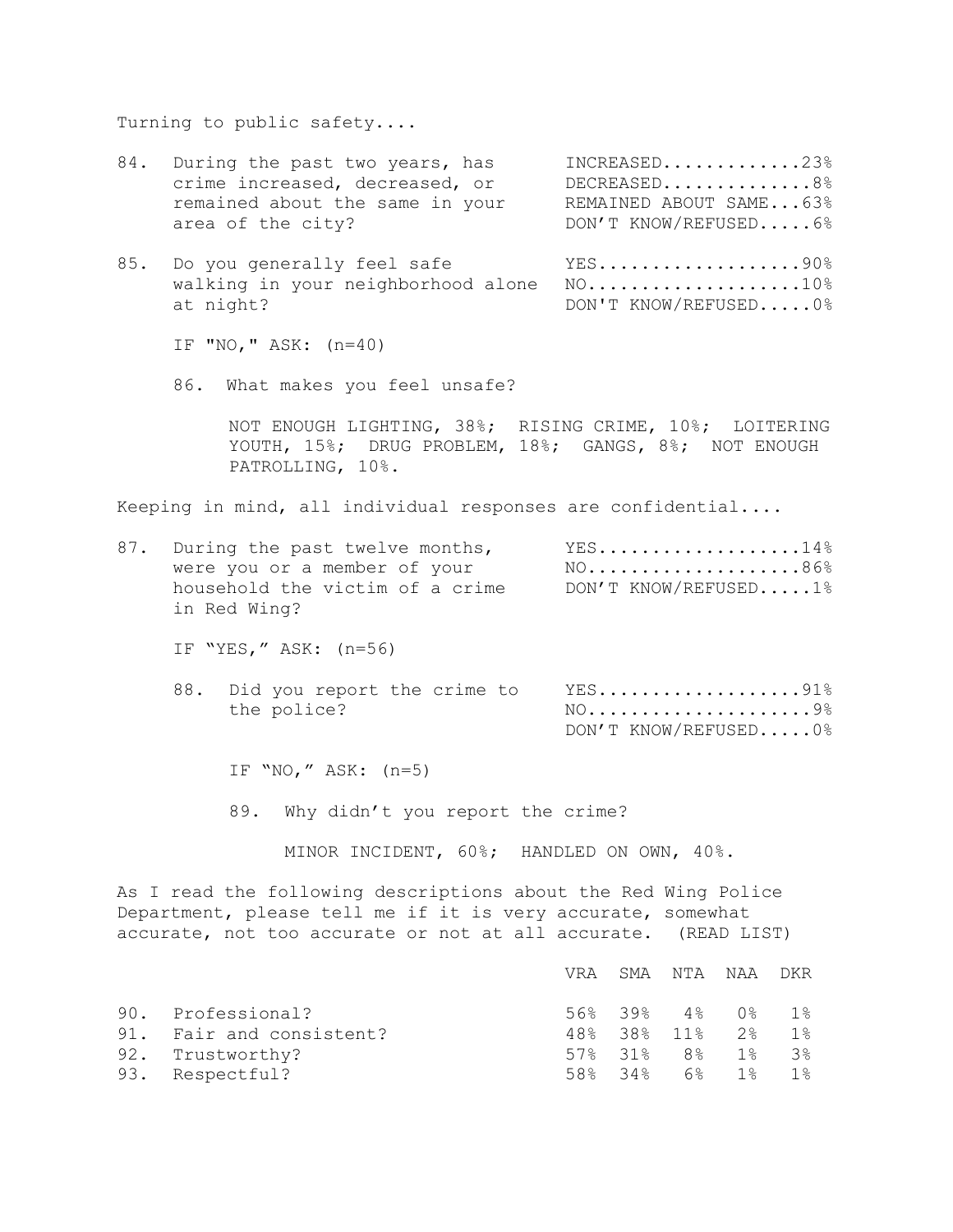Turning to public safety....

| 84.                      | During the past two years, has<br>crime increased, decreased, or<br>remained about the same in your<br>area of the city? |                                                                      |                                                                                                                                                                                                 |  |                          |                          |                                           |                                                    | $INCREASED$ 23%<br>DECREASED8%<br>REMAINED ABOUT SAME63%<br>DON'T KNOW/REFUSED6% |
|--------------------------|--------------------------------------------------------------------------------------------------------------------------|----------------------------------------------------------------------|-------------------------------------------------------------------------------------------------------------------------------------------------------------------------------------------------|--|--------------------------|--------------------------|-------------------------------------------|----------------------------------------------------|----------------------------------------------------------------------------------|
| 85.                      | Do you generally feel safe<br>walking in your neighborhood alone<br>at night?                                            |                                                                      |                                                                                                                                                                                                 |  |                          |                          |                                           | YES90%<br>$NO.$ 10%<br>DON'T KNOW/REFUSED0%        |                                                                                  |
|                          |                                                                                                                          | IF "NO, " $ASK: (n=40)$                                              |                                                                                                                                                                                                 |  |                          |                          |                                           |                                                    |                                                                                  |
|                          |                                                                                                                          |                                                                      | 86. What makes you feel unsafe?                                                                                                                                                                 |  |                          |                          |                                           |                                                    |                                                                                  |
|                          |                                                                                                                          | PATROLLING, 10%.                                                     | NOT ENOUGH LIGHTING, 38%; RISING CRIME, 10%; LOITERING<br>YOUTH, 15%; DRUG PROBLEM, 18%; GANGS, 8%; NOT ENOUGH                                                                                  |  |                          |                          |                                           |                                                    |                                                                                  |
|                          |                                                                                                                          |                                                                      | Keeping in mind, all individual responses are confidential                                                                                                                                      |  |                          |                          |                                           |                                                    |                                                                                  |
| 87.                      |                                                                                                                          | in Red Wing?                                                         | During the past twelve months,<br>were you or a member of your<br>household the victim of a crime                                                                                               |  |                          |                          |                                           |                                                    | $YES$ 14%<br>NO86%<br>DON'T KNOW/REFUSED1%                                       |
|                          |                                                                                                                          | IF "YES," ASK: (n=56)                                                |                                                                                                                                                                                                 |  |                          |                          |                                           |                                                    |                                                                                  |
|                          |                                                                                                                          | the police?                                                          | 88. Did you report the crime to                                                                                                                                                                 |  |                          |                          |                                           |                                                    | $YES$ 91%<br>DON'T KNOW/REFUSED0%                                                |
|                          |                                                                                                                          | IF "NO," ASK: $(n=5)$                                                |                                                                                                                                                                                                 |  |                          |                          |                                           |                                                    |                                                                                  |
|                          |                                                                                                                          |                                                                      | 89. Why didn't you report the crime?                                                                                                                                                            |  |                          |                          |                                           |                                                    |                                                                                  |
|                          |                                                                                                                          |                                                                      | MINOR INCIDENT, 60%; HANDLED ON OWN, 40%.                                                                                                                                                       |  |                          |                          |                                           |                                                    |                                                                                  |
|                          |                                                                                                                          |                                                                      | As I read the following descriptions about the Red Wing Police<br>Department, please tell me if it is very accurate, somewhat<br>accurate, not too accurate or not at all accurate. (READ LIST) |  |                          |                          |                                           |                                                    |                                                                                  |
|                          |                                                                                                                          |                                                                      |                                                                                                                                                                                                 |  | VRA                      | SMA                      | NTA                                       | NAA                                                | DKR                                                                              |
| 90.<br>91.<br>92.<br>93. |                                                                                                                          | Professional?<br>Fair and consistent?<br>Trustworthy?<br>Respectful? |                                                                                                                                                                                                 |  | 56%<br>48%<br>57%<br>58% | 39%<br>38%<br>31%<br>34% | $4\,$ $\,$<br>11%<br>8 <sup>°</sup><br>6% | 0 <sup>°</sup><br>$2\frac{6}{6}$<br>$1\%$<br>$1\%$ | $1\%$<br>$1\%$<br>3%<br>$1\%$                                                    |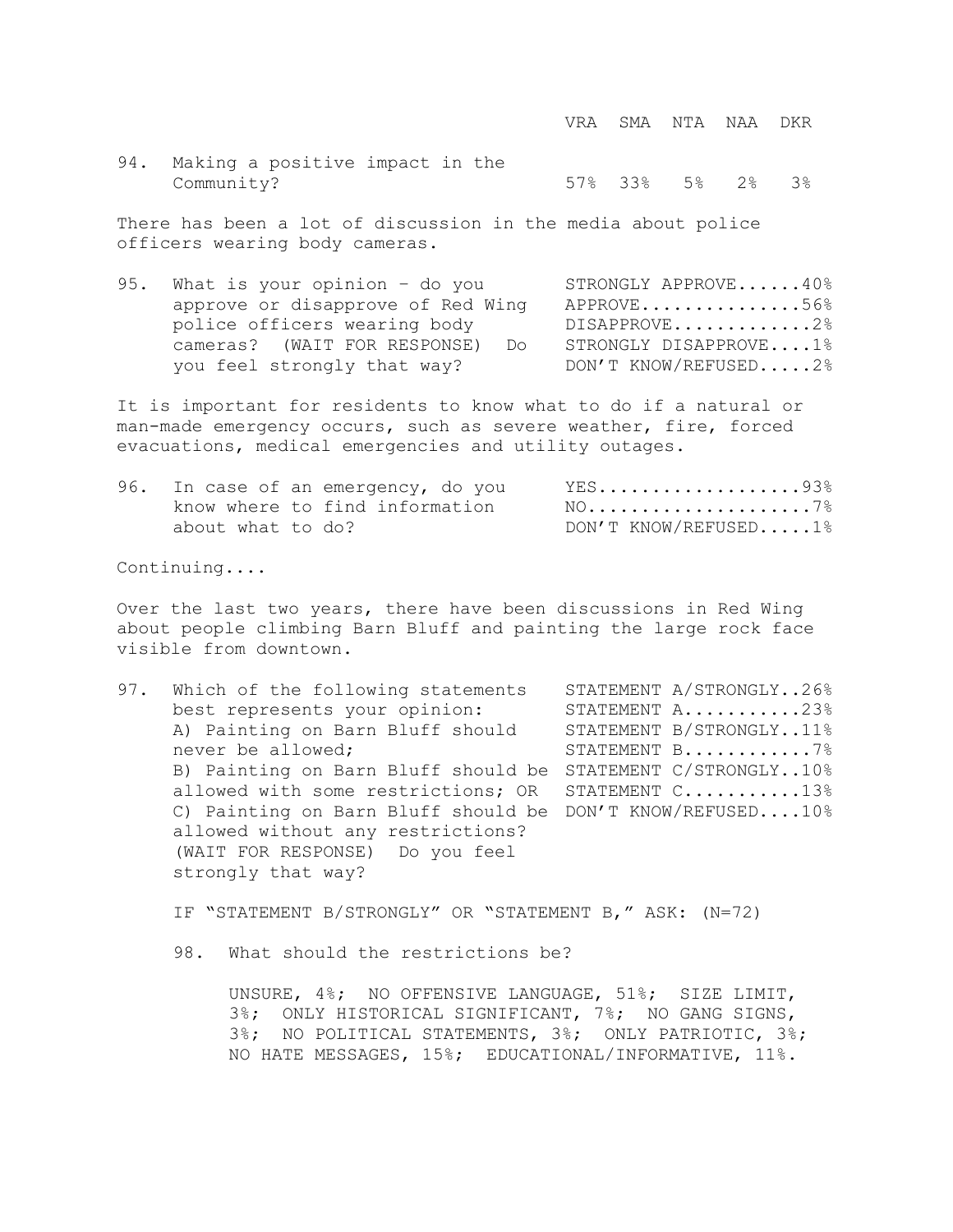VRA SMA NTA NAA DKR

94. Making a positive impact in the Community? 57% 33% 5% 2% 3%

There has been a lot of discussion in the media about police officers wearing body cameras.

95. What is your opinion - do you STRONGLY APPROVE......40% approve or disapprove of Red Wing APPROVE...............56% police officers wearing body DISAPPROVE.............2% cameras? (WAIT FOR RESPONSE) Do STRONGLY DISAPPROVE....1% you feel strongly that way? DON'T KNOW/REFUSED.....2%

It is important for residents to know what to do if a natural or man-made emergency occurs, such as severe weather, fire, forced evacuations, medical emergencies and utility outages.

|                   | 96. In case of an emergency, do you | YES93%               |
|-------------------|-------------------------------------|----------------------|
|                   | know where to find information      | $NO. 7$              |
| about what to do? |                                     | DON'T KNOW/REFUSED1% |

Continuing....

Over the last two years, there have been discussions in Red Wing about people climbing Barn Bluff and painting the large rock face visible from downtown.

97. Which of the following statements STATEMENT A/STRONGLY..26% best represents your opinion: STATEMENT A..........23% A) Painting on Barn Bluff should STATEMENT B/STRONGLY..11% never be allowed; STATEMENT B............7% B) Painting on Barn Bluff should be STATEMENT C/STRONGLY..10% allowed with some restrictions; OR STATEMENT C...........13% C) Painting on Barn Bluff should be DON'T KNOW/REFUSED....10% allowed without any restrictions? (WAIT FOR RESPONSE) Do you feel strongly that way?

IF "STATEMENT B/STRONGLY" OR "STATEMENT B," ASK: (N=72)

98. What should the restrictions be?

UNSURE, 4%; NO OFFENSIVE LANGUAGE, 51%; SIZE LIMIT, 3%; ONLY HISTORICAL SIGNIFICANT, 7%; NO GANG SIGNS, 3%; NO POLITICAL STATEMENTS, 3%; ONLY PATRIOTIC, 3%; NO HATE MESSAGES, 15%; EDUCATIONAL/INFORMATIVE, 11%.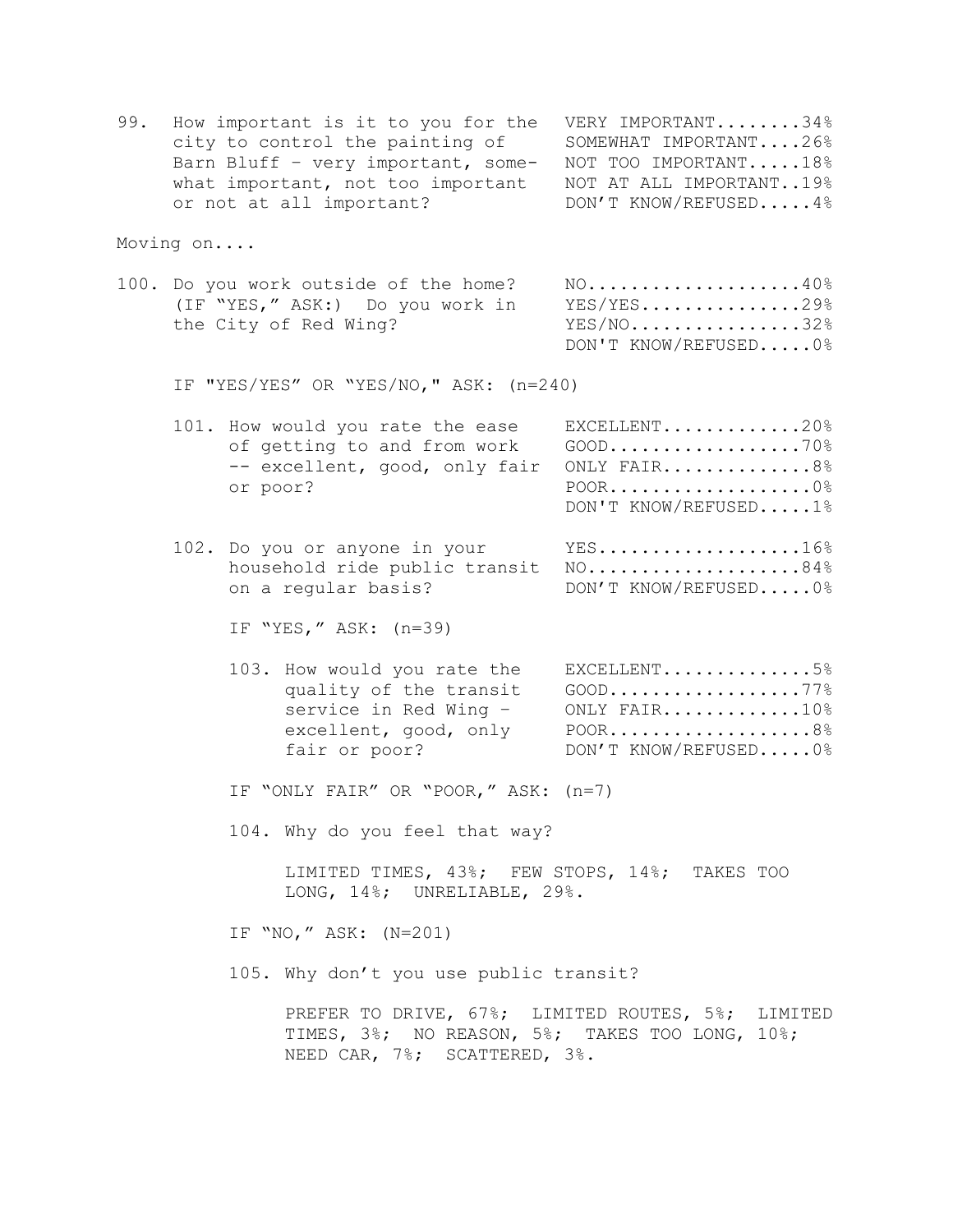| 99. | How important is it to you for the VERY IMPORTANT34% |                         |
|-----|------------------------------------------------------|-------------------------|
|     | city to control the painting of                      | SOMEWHAT IMPORTANT26%   |
|     | Barn Bluff - very important, some-                   | NOT TOO IMPORTANT18%    |
|     | what important, not too important                    | NOT AT ALL IMPORTANT19% |
|     | or not at all important?                             | DON'T KNOW/REFUSED4%    |

Moving on....

100. Do you work outside of the home? NO...................40% (IF "YES," ASK:) Do you work in YES/YES...............29% the City of Red Wing? YES/NO................32% DON'T KNOW/REFUSED.....0%

IF "YES/YES" OR "YES/NO," ASK: (n=240)

| 101. How would you rate the ease          | $EXCELLENT$ 20%      |
|-------------------------------------------|----------------------|
|                                           |                      |
| -- excellent, good, only fair ONLY FAIR8% |                      |
| or poor?                                  | $POOR$ 0             |
|                                           | DON'T KNOW/REFUSED1% |

102. Do you or anyone in your YES..................16% household ride public transit NO....................84% on a regular basis? DON'T KNOW/REFUSED.....0%

IF "YES," ASK: (n=39)

- 103. How would you rate the EXCELLENT..............5% quality of the transit GOOD......................... service in Red Wing - ONLY FAIR.............10% excellent, good, only POOR......................8% fair or poor? DON'T KNOW/REFUSED.....0%
- IF "ONLY FAIR" OR "POOR," ASK: (n=7)

104. Why do you feel that way?

LIMITED TIMES, 43%; FEW STOPS, 14%; TAKES TOO LONG, 14%; UNRELIABLE, 29%.

IF "NO," ASK: (N=201)

105. Why don't you use public transit?

PREFER TO DRIVE, 67%; LIMITED ROUTES, 5%; LIMITED TIMES, 3%; NO REASON, 5%; TAKES TOO LONG, 10%; NEED CAR, 7%; SCATTERED, 3%.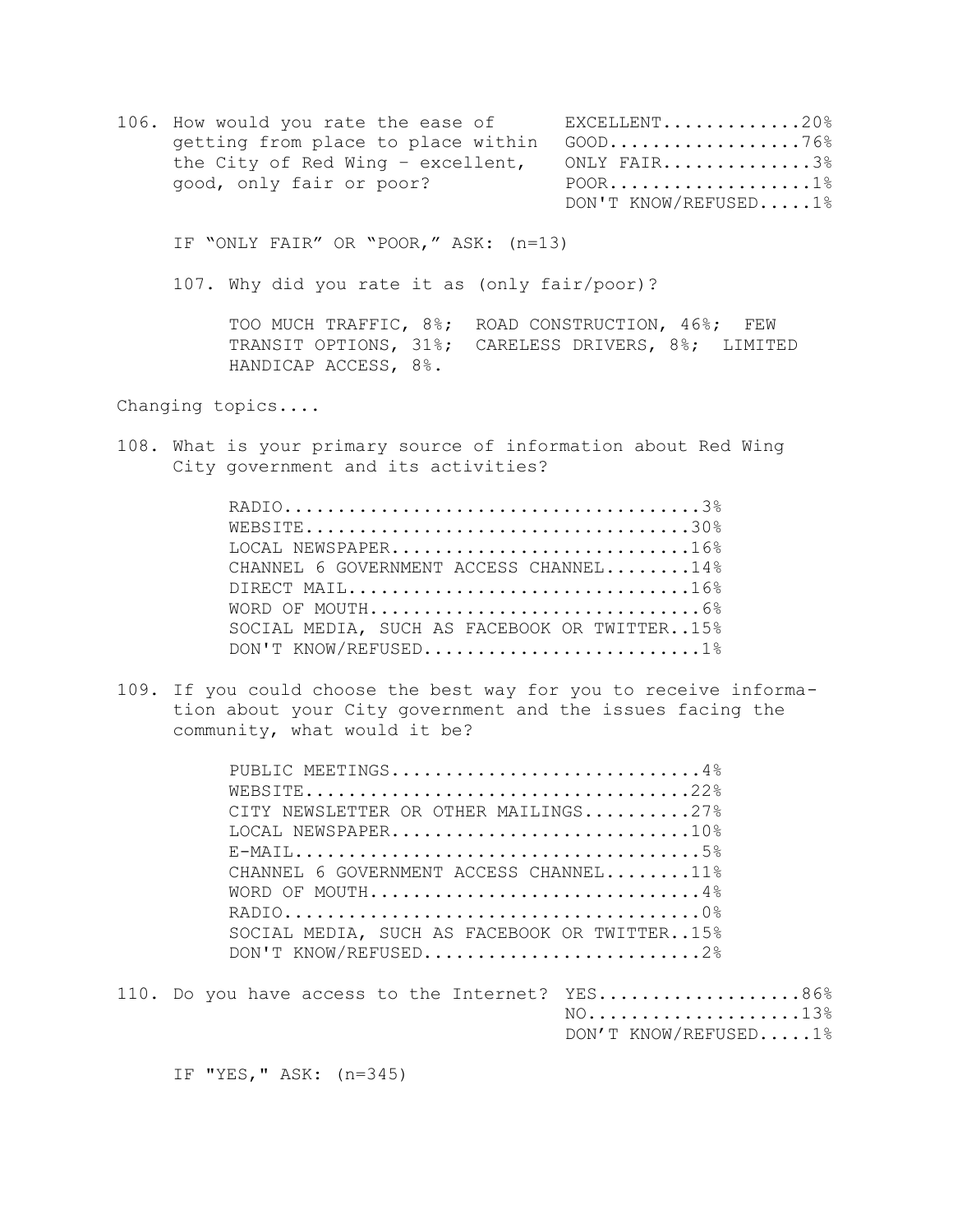106. How would you rate the ease of EXCELLENT.............20% getting from place to place within GOOD...................76% the City of Red Wing – excellent, ONLY FAIR..............3% good, only fair or poor? POOR......................1% DON'T KNOW/REFUSED.....1%

IF "ONLY FAIR" OR "POOR," ASK: (n=13)

107. Why did you rate it as (only fair/poor)?

TOO MUCH TRAFFIC, 8%; ROAD CONSTRUCTION, 46%; FEW TRANSIT OPTIONS, 31%; CARELESS DRIVERS, 8%; LIMITED HANDICAP ACCESS, 8%.

Changing topics....

108. What is your primary source of information about Red Wing City government and its activities?

| LOCAL NEWSPAPER16%                           |  |
|----------------------------------------------|--|
| CHANNEL 6 GOVERNMENT ACCESS CHANNEL14%       |  |
| DIRECT MAIL16%                               |  |
|                                              |  |
| SOCIAL MEDIA, SUCH AS FACEBOOK OR TWITTER15% |  |
| DON'T KNOW/REFUSED1%                         |  |

109. If you could choose the best way for you to receive information about your City government and the issues facing the community, what would it be?

| PUBLIC MEETINGS4%                            |  |
|----------------------------------------------|--|
|                                              |  |
| CITY NEWSLETTER OR OTHER MAILINGS27%         |  |
| LOCAL NEWSPAPER10%                           |  |
|                                              |  |
| CHANNEL 6 GOVERNMENT ACCESS CHANNEL11%       |  |
| WORD OF MOUTH4%                              |  |
|                                              |  |
| SOCIAL MEDIA, SUCH AS FACEBOOK OR TWITTER15% |  |
| DON'T KNOW/REFUSED2%                         |  |
|                                              |  |

110. Do you have access to the Internet? YES....................86% NO....................13% DON'T KNOW/REFUSED.....1%

IF "YES," ASK: (n=345)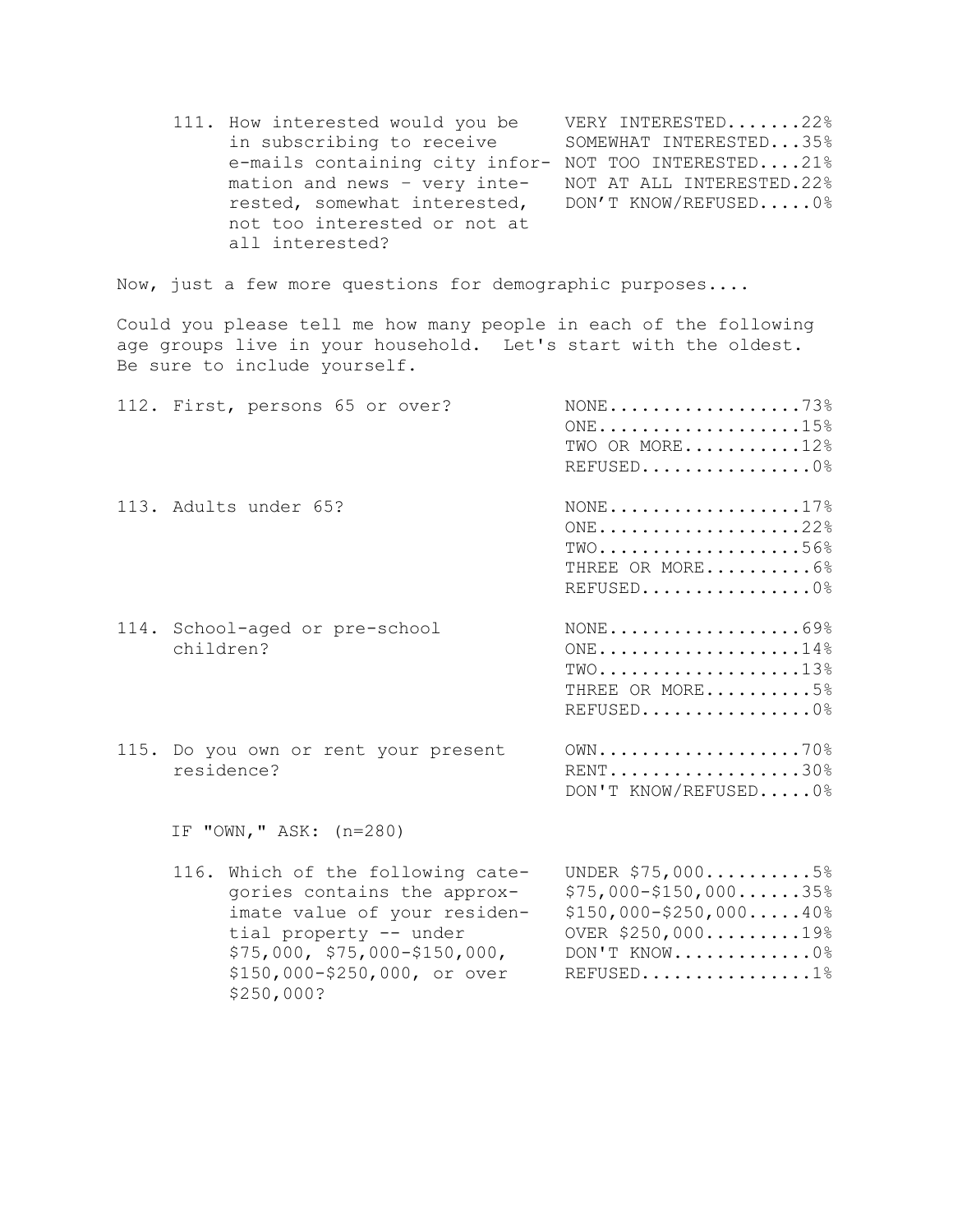111. How interested would you be VERY INTERESTED.......22% in subscribing to receive SOMEWHAT INTERESTED...35% e-mails containing city infor- NOT TOO INTERESTED....21% mation and news – very inte- NOT AT ALL INTERESTED.22% rested, somewhat interested, DON'T KNOW/REFUSED.....0% not too interested or not at all interested?

Now, just a few more questions for demographic purposes....

Could you please tell me how many people in each of the following age groups live in your household. Let's start with the oldest. Be sure to include yourself.

| 112. First, persons 65 or over?                    | $\text{NONE} \ldots \ldots \ldots \ldots \ldots \ldots \ldots 73\%$<br>ONE15%<br>TWO OR MORE12%<br>REFUSED0            |
|----------------------------------------------------|------------------------------------------------------------------------------------------------------------------------|
| 113. Adults under 65?                              | $\text{NONE} \ldots \ldots \ldots \ldots \ldots \ldots 17\%$<br>$ONE$ 22%<br>$TWO$ 56%<br>THREE OR MORE6%<br>REFUSED0% |
| 114. School-aged or pre-school<br>children?        | $\text{NONE} \ldots \ldots \ldots \ldots \ldots \ldots 69\%$<br>ONE14%<br>$TWO$ 13%<br>THREE OR MORE5%<br>REFUSED0%    |
| 115. Do you own or rent your present<br>residence? | $OWN$ 70%<br>RENT30%<br>DON'T KNOW/REFUSED0%                                                                           |
| IF "OWN," ASK: (n=280)                             |                                                                                                                        |

 116. Which of the following cate- UNDER \$75,000..........5% gories contains the approx- $$75,000-\$150,000......35\$$ imate value of your residen- \$150,000-\$250,000.....40% tial property -- under 0VER \$250,000.........19% \$75,000, \$75,000-\$150,000, DON'T KNOW.............0% \$150,000-\$250,000, or over REFUSED................1% \$250,000?